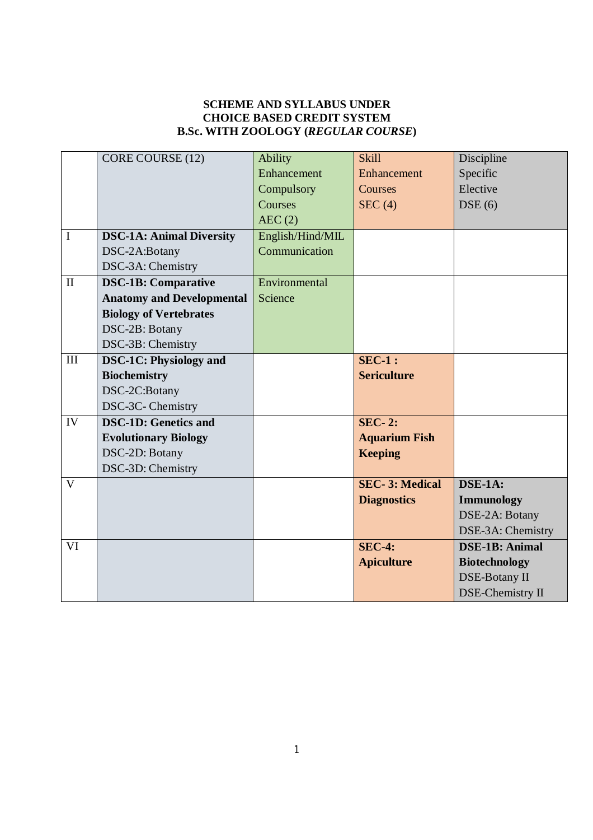## **SCHEME AND SYLLABUS UNDER CHOICE BASED CREDIT SYSTEM B.Sc. WITH ZOOLOGY (***REGULAR COURSE***)**

|              | CORE COURSE (12)                 | <b>Ability</b>   | <b>Skill</b>                | Discipline              |
|--------------|----------------------------------|------------------|-----------------------------|-------------------------|
|              |                                  | Enhancement      |                             |                         |
|              |                                  |                  | Enhancement                 | Specific                |
|              |                                  | Compulsory       | Courses                     | Elective                |
|              |                                  | Courses          | SEC(4)                      | DSE(6)                  |
|              |                                  | AEC(2)           |                             |                         |
| $\mathbf I$  | <b>DSC-1A: Animal Diversity</b>  | English/Hind/MIL |                             |                         |
|              | DSC-2A:Botany                    | Communication    |                             |                         |
|              | DSC-3A: Chemistry                |                  |                             |                         |
| $\mathbf{I}$ | <b>DSC-1B: Comparative</b>       | Environmental    |                             |                         |
|              | <b>Anatomy and Developmental</b> | Science          |                             |                         |
|              | <b>Biology of Vertebrates</b>    |                  |                             |                         |
|              | DSC-2B: Botany                   |                  |                             |                         |
|              | DSC-3B: Chemistry                |                  |                             |                         |
| III          | <b>DSC-1C: Physiology and</b>    |                  | $SEC-1$ :                   |                         |
|              | <b>Biochemistry</b>              |                  | <b>Sericulture</b>          |                         |
|              | DSC-2C:Botany                    |                  |                             |                         |
|              | DSC-3C-Chemistry                 |                  |                             |                         |
| IV           | <b>DSC-1D: Genetics and</b>      |                  | $\overline{\text{SEC- 2:}}$ |                         |
|              | <b>Evolutionary Biology</b>      |                  | <b>Aquarium Fish</b>        |                         |
|              | DSC-2D: Botany                   |                  | <b>Keeping</b>              |                         |
|              | DSC-3D: Chemistry                |                  |                             |                         |
| $\mathbf{V}$ |                                  |                  | <b>SEC-3: Medical</b>       | DSE-1A:                 |
|              |                                  |                  | <b>Diagnostics</b>          | <b>Immunology</b>       |
|              |                                  |                  |                             | DSE-2A: Botany          |
|              |                                  |                  |                             | DSE-3A: Chemistry       |
| VI           |                                  |                  | <b>SEC-4:</b>               | <b>DSE-1B: Animal</b>   |
|              |                                  |                  | <b>Apiculture</b>           | <b>Biotechnology</b>    |
|              |                                  |                  |                             | <b>DSE-Botany II</b>    |
|              |                                  |                  |                             | <b>DSE-Chemistry II</b> |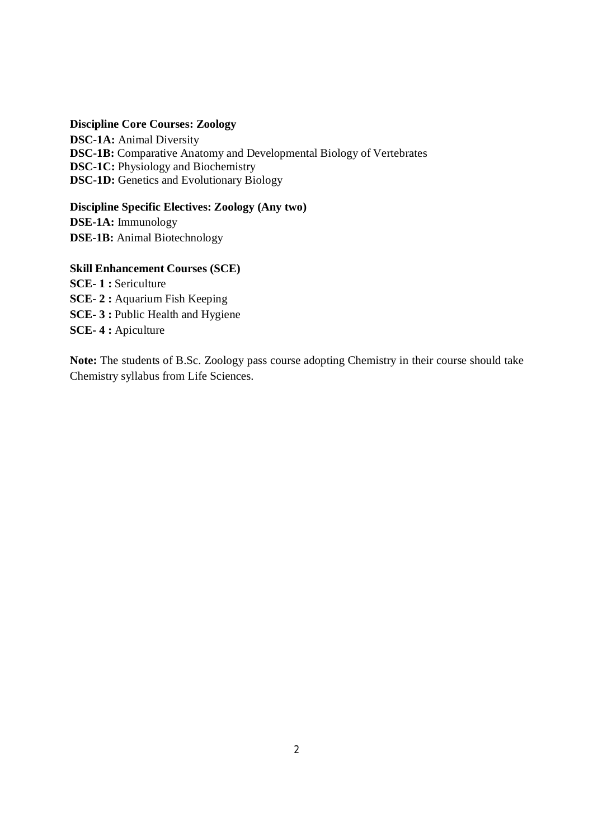#### **Discipline Core Courses: Zoology**

**DSC-1A:** Animal Diversity **DSC-1B:** Comparative Anatomy and Developmental Biology of Vertebrates **DSC-1C:** Physiology and Biochemistry **DSC-1D:** Genetics and Evolutionary Biology

**Discipline Specific Electives: Zoology (Any two) DSE-1A:** Immunology **DSE-1B:** Animal Biotechnology

### **Skill Enhancement Courses (SCE)**

**SCE- 1 :** Sericulture **SCE- 2 :** Aquarium Fish Keeping **SCE- 3 :** Public Health and Hygiene **SCE- 4 :** Apiculture

**Note:** The students of B.Sc. Zoology pass course adopting Chemistry in their course should take Chemistry syllabus from Life Sciences.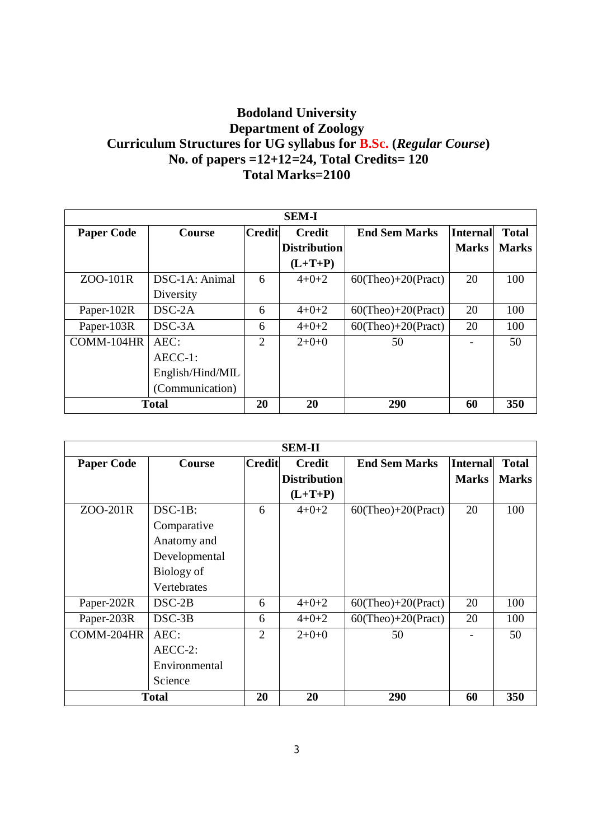# **Bodoland University Department of Zoology Curriculum Structures for UG syllabus for B.Sc. (***Regular Course***) No. of papers =12+12=24, Total Credits= 120 Total Marks=2100**

| <b>SEM-I</b>      |                  |                |                     |                       |                 |              |  |
|-------------------|------------------|----------------|---------------------|-----------------------|-----------------|--------------|--|
| <b>Paper Code</b> | <b>Course</b>    | <b>Credit</b>  | <b>Credit</b>       | <b>End Sem Marks</b>  | <b>Internal</b> | <b>Total</b> |  |
|                   |                  |                | <b>Distribution</b> |                       | <b>Marks</b>    | <b>Marks</b> |  |
|                   |                  |                | $(L+T+P)$           |                       |                 |              |  |
| ZOO-101R          | DSC-1A: Animal   | 6              | $4 + 0 + 2$         | $60$ (Theo)+20(Pract) | 20              | 100          |  |
|                   | Diversity        |                |                     |                       |                 |              |  |
| Paper-102R        | $DSC-2A$         | 6              | $4 + 0 + 2$         | $60$ (Theo)+20(Pract) | 20              | 100          |  |
| Paper-103R        | $DSC-3A$         | 6              | $4 + 0 + 2$         | $60$ (Theo)+20(Pract) | 20              | 100          |  |
| COMM-104HR        | AEC:             | $\overline{2}$ | $2+0+0$             | 50                    |                 | 50           |  |
|                   | $AECC-1$ :       |                |                     |                       |                 |              |  |
|                   | English/Hind/MIL |                |                     |                       |                 |              |  |
|                   | (Communication)  |                |                     |                       |                 |              |  |
|                   | <b>Total</b>     | 20             | 20                  | 290                   | 60              | 350          |  |

| <b>SEM-II</b>     |               |                             |                     |                       |                 |              |  |
|-------------------|---------------|-----------------------------|---------------------|-----------------------|-----------------|--------------|--|
| <b>Paper Code</b> | <b>Course</b> | <b>Credit</b>               | <b>Credit</b>       | <b>End Sem Marks</b>  | <b>Internal</b> | <b>Total</b> |  |
|                   |               |                             | <b>Distribution</b> |                       | <b>Marks</b>    | <b>Marks</b> |  |
|                   |               |                             | $(L+T+P)$           |                       |                 |              |  |
| ZOO-201R          | $DSC-1B$ :    | 6                           | $4 + 0 + 2$         | $60$ (Theo)+20(Pract) | 20              | 100          |  |
|                   | Comparative   |                             |                     |                       |                 |              |  |
|                   | Anatomy and   |                             |                     |                       |                 |              |  |
|                   | Developmental |                             |                     |                       |                 |              |  |
|                   | Biology of    |                             |                     |                       |                 |              |  |
|                   | Vertebrates   |                             |                     |                       |                 |              |  |
| Paper-202R        | $DSC-2B$      | 6                           | $4 + 0 + 2$         | $60$ (Theo)+20(Pract) | 20              | 100          |  |
| Paper-203R        | $DSC-3B$      | 6                           | $4+0+2$             | $60$ (Theo)+20(Pract) | 20              | 100          |  |
| COMM-204HR        | AEC:          | $\mathcal{D}_{\mathcal{L}}$ | $2+0+0$             | 50                    |                 | 50           |  |
|                   | $AECC-2$ :    |                             |                     |                       |                 |              |  |
|                   | Environmental |                             |                     |                       |                 |              |  |
|                   | Science       |                             |                     |                       |                 |              |  |
|                   | <b>Total</b>  | 20                          | 20                  | 290                   | 60              | 350          |  |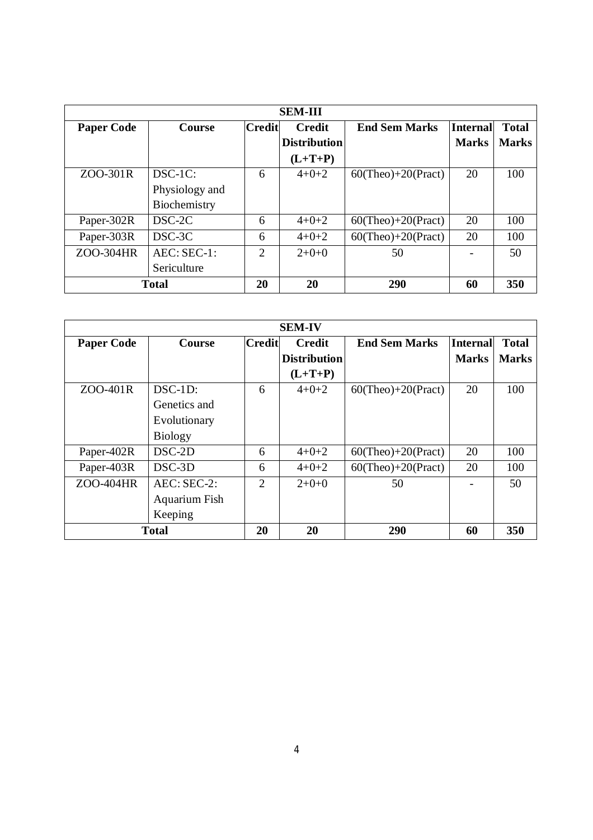| <b>SEM-III</b>    |                |                             |                     |                       |                 |              |  |
|-------------------|----------------|-----------------------------|---------------------|-----------------------|-----------------|--------------|--|
| <b>Paper Code</b> | <b>Course</b>  | <b>Credit</b>               | <b>Credit</b>       | <b>End Sem Marks</b>  | <b>Internal</b> | <b>Total</b> |  |
|                   |                |                             | <b>Distribution</b> |                       | <b>Marks</b>    | <b>Marks</b> |  |
|                   |                |                             | $(L+T+P)$           |                       |                 |              |  |
| ZOO-301R          | $DSC-1C$ :     | 6                           | $4 + 0 + 2$         | $60$ (Theo)+20(Pract) | 20              | 100          |  |
|                   | Physiology and |                             |                     |                       |                 |              |  |
|                   | Biochemistry   |                             |                     |                       |                 |              |  |
| Paper-302R        | DSC-2C         | 6                           | $4+0+2$             | $60$ (Theo)+20(Pract) | 20              | 100          |  |
| Paper-303R        | DSC-3C         | 6                           | $4 + 0 + 2$         | $60$ (Theo)+20(Pract) | 20              | 100          |  |
| ZOO-304HR         | $AEC:SEC-1:$   | $\mathcal{D}_{\mathcal{L}}$ | $2+0+0$             | 50                    |                 | 50           |  |
|                   | Sericulture    |                             |                     |                       |                 |              |  |
|                   | <b>Total</b>   | 20                          | 20                  | 290                   | 60              | 350          |  |

| <b>SEM-IV</b>     |                |                             |                     |                       |                 |              |  |
|-------------------|----------------|-----------------------------|---------------------|-----------------------|-----------------|--------------|--|
| <b>Paper Code</b> | <b>Course</b>  | Credit                      | <b>Credit</b>       | <b>End Sem Marks</b>  | <b>Internal</b> | <b>Total</b> |  |
|                   |                |                             | <b>Distribution</b> |                       | <b>Marks</b>    | <b>Marks</b> |  |
|                   |                |                             | $(L+T+P)$           |                       |                 |              |  |
| ZOO-401R          | $DSC-1D$ :     | 6                           | $4 + 0 + 2$         | $60$ (Theo)+20(Pract) | 20              | 100          |  |
|                   | Genetics and   |                             |                     |                       |                 |              |  |
|                   | Evolutionary   |                             |                     |                       |                 |              |  |
|                   | <b>Biology</b> |                             |                     |                       |                 |              |  |
| Paper-402R        | $DSC-2D$       | 6                           | $4 + 0 + 2$         | $60$ (Theo)+20(Pract) | 20              | 100          |  |
| Paper-403R        | DSC-3D         | 6                           | $4 + 0 + 2$         | $60$ (Theo)+20(Pract) | 20              | 100          |  |
| ZOO-404HR         | AEC: SEC-2:    | $\mathcal{D}_{\mathcal{L}}$ | $2+0+0$             | 50                    |                 | 50           |  |
|                   | Aquarium Fish  |                             |                     |                       |                 |              |  |
|                   | Keeping        |                             |                     |                       |                 |              |  |
| <b>Total</b>      | 20             | 20                          | 290                 | 60                    | 350             |              |  |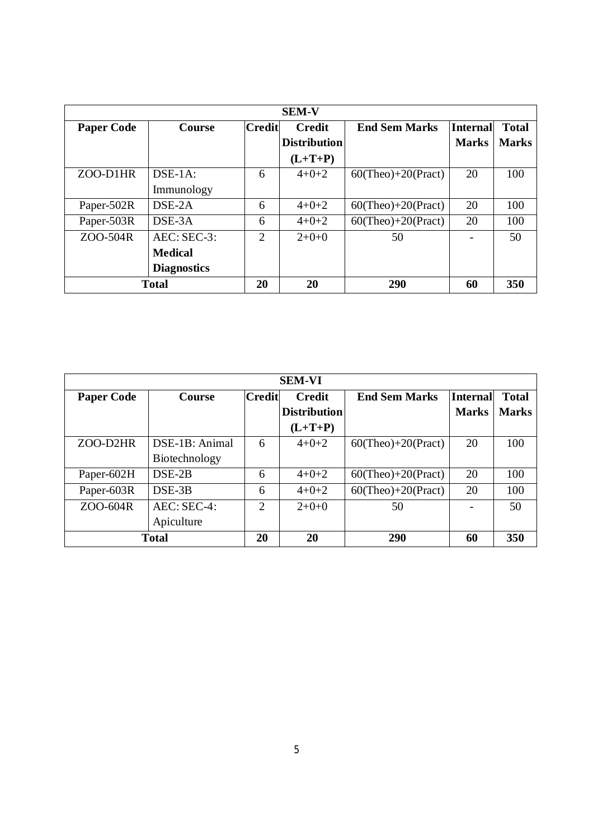| <b>SEM-V</b>      |                    |                |                     |                       |              |              |  |
|-------------------|--------------------|----------------|---------------------|-----------------------|--------------|--------------|--|
| <b>Paper Code</b> | <b>Course</b>      | Credit         | <b>Credit</b>       | <b>End Sem Marks</b>  | Internal     | <b>Total</b> |  |
|                   |                    |                | <b>Distribution</b> |                       | <b>Marks</b> | <b>Marks</b> |  |
|                   |                    |                | $(L+T+P)$           |                       |              |              |  |
| ZOO-D1HR          | $DSE-1A$ :         | 6              | $4 + 0 + 2$         | $60$ (Theo)+20(Pract) | 20           | 100          |  |
|                   | Immunology         |                |                     |                       |              |              |  |
| Paper-502R        | DSE-2A             | 6              | $4+0+2$             | $60$ (Theo)+20(Pract) | 20           | 100          |  |
| Paper-503R        | $DSE-3A$           | 6              | $4+0+2$             | $60$ (Theo)+20(Pract) | 20           | 100          |  |
| ZOO-504R          | $AEC:SEC-3:$       | $\mathfrak{D}$ | $2+0+0$             | 50                    |              | 50           |  |
|                   | <b>Medical</b>     |                |                     |                       |              |              |  |
|                   | <b>Diagnostics</b> |                |                     |                       |              |              |  |
|                   | <b>Total</b>       | 20             | 20                  | 290                   | 60           | <b>350</b>   |  |

| <b>SEM-VI</b>     |                |                             |                     |                       |                 |              |
|-------------------|----------------|-----------------------------|---------------------|-----------------------|-----------------|--------------|
| <b>Paper Code</b> | <b>Course</b>  | <b>Credit</b>               | <b>Credit</b>       | <b>End Sem Marks</b>  | <b>Internal</b> | <b>Total</b> |
|                   |                |                             | <b>Distribution</b> |                       | <b>Marks</b>    | <b>Marks</b> |
|                   |                |                             | $(L+T+P)$           |                       |                 |              |
| ZOO-D2HR          | DSE-1B: Animal | 6                           | $4 + 0 + 2$         | $60$ (Theo)+20(Pract) | 20              | 100          |
|                   | Biotechnology  |                             |                     |                       |                 |              |
| Paper-602H        | $DSE-2B$       | 6                           | $4+0+2$             | $60$ (Theo)+20(Pract) | 20              | 100          |
| Paper-603R        | DSE-3B         | 6                           | $4 + 0 + 2$         | $60$ (Theo)+20(Pract) | 20              | 100          |
| ZOO-604R          | $AEC:SEC-4:$   | $\mathcal{D}_{\mathcal{L}}$ | $2+0+0$             | 50                    |                 | 50           |
|                   | Apiculture     |                             |                     |                       |                 |              |
|                   | <b>Total</b>   | 20                          | 20                  | 290                   | 60              | 350          |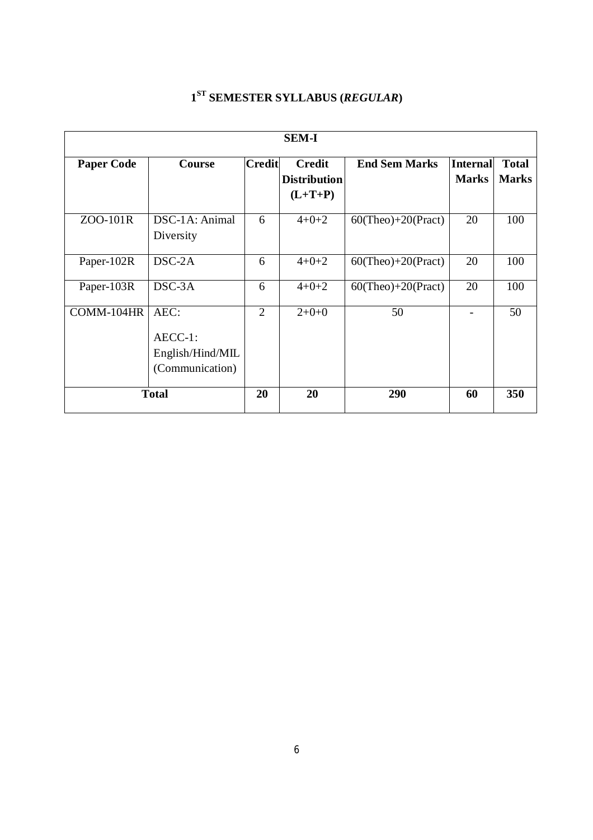|                   | <b>SEM-I</b>                                           |                |                                                   |                       |                                 |                              |  |  |
|-------------------|--------------------------------------------------------|----------------|---------------------------------------------------|-----------------------|---------------------------------|------------------------------|--|--|
| <b>Paper Code</b> | <b>Course</b>                                          | <b>Credit</b>  | <b>Credit</b><br><b>Distribution</b><br>$(L+T+P)$ | <b>End Sem Marks</b>  | <b>Internal</b><br><b>Marks</b> | <b>Total</b><br><b>Marks</b> |  |  |
| ZOO-101R          | DSC-1A: Animal<br>Diversity                            | 6              | $4+0+2$                                           | $60$ (Theo)+20(Pract) | 20                              | 100                          |  |  |
| Paper-102R        | $DSC-2A$                                               | 6              | $4 + 0 + 2$                                       | $60$ (Theo)+20(Pract) | 20                              | 100                          |  |  |
| Paper-103R        | DSC-3A                                                 | 6              | $4 + 0 + 2$                                       | $60$ (Theo)+20(Pract) | 20                              | 100                          |  |  |
| COMM-104HR        | AEC:<br>AECC-1:<br>English/Hind/MIL<br>(Communication) | $\overline{2}$ | $2+0+0$                                           | 50                    |                                 | 50                           |  |  |
| <b>Total</b>      |                                                        | 20             | 20                                                | 290                   | 60                              | 350                          |  |  |

## **1 ST SEMESTER SYLLABUS (***REGULAR***)**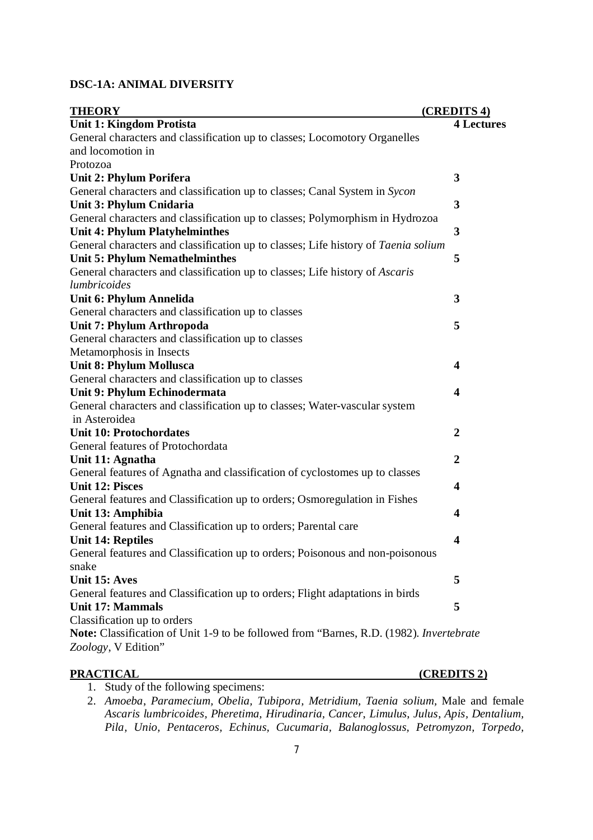## **DSC-1A: ANIMAL DIVERSITY**

| <b>THEORY</b>                                                                                             | (CREDITS 4)             |
|-----------------------------------------------------------------------------------------------------------|-------------------------|
| <b>Unit 1: Kingdom Protista</b>                                                                           | <b>4 Lectures</b>       |
| General characters and classification up to classes; Locomotory Organelles                                |                         |
| and locomotion in                                                                                         |                         |
| Protozoa                                                                                                  |                         |
| Unit 2: Phylum Porifera                                                                                   | 3                       |
| General characters and classification up to classes; Canal System in Sycon                                |                         |
| Unit 3: Phylum Cnidaria                                                                                   | 3                       |
| General characters and classification up to classes; Polymorphism in Hydrozoa                             |                         |
| <b>Unit 4: Phylum Platyhelminthes</b>                                                                     | 3                       |
| General characters and classification up to classes; Life history of Taenia solium                        |                         |
| <b>Unit 5: Phylum Nemathelminthes</b>                                                                     | 5                       |
| General characters and classification up to classes; Life history of Ascaris                              |                         |
| lumbricoides                                                                                              |                         |
| Unit 6: Phylum Annelida                                                                                   | 3                       |
| General characters and classification up to classes                                                       |                         |
| Unit 7: Phylum Arthropoda                                                                                 | 5                       |
| General characters and classification up to classes                                                       |                         |
| Metamorphosis in Insects                                                                                  |                         |
| <b>Unit 8: Phylum Mollusca</b>                                                                            | 4                       |
| General characters and classification up to classes                                                       |                         |
| Unit 9: Phylum Echinodermata                                                                              | 4                       |
| General characters and classification up to classes; Water-vascular system                                |                         |
| in Asteroidea                                                                                             |                         |
| <b>Unit 10: Protochordates</b>                                                                            | $\boldsymbol{2}$        |
| General features of Protochordata                                                                         |                         |
| Unit 11: Agnatha                                                                                          | $\overline{2}$          |
| General features of Agnatha and classification of cyclostomes up to classes                               |                         |
| <b>Unit 12: Pisces</b>                                                                                    | 4                       |
| General features and Classification up to orders; Osmoregulation in Fishes                                |                         |
| Unit 13: Amphibia                                                                                         | 4                       |
| General features and Classification up to orders; Parental care                                           | $\overline{\mathbf{4}}$ |
| <b>Unit 14: Reptiles</b><br>General features and Classification up to orders; Poisonous and non-poisonous |                         |
| snake                                                                                                     |                         |
| Unit 15: Aves                                                                                             | 5                       |
| General features and Classification up to orders; Flight adaptations in birds                             |                         |
| <b>Unit 17: Mammals</b>                                                                                   | 5                       |
| Classification up to orders                                                                               |                         |
| Note: Classification of Unit 1-9 to be followed from "Barnes, R.D. (1982). Invertebrate                   |                         |
| Zoology, V Edition"                                                                                       |                         |
|                                                                                                           |                         |

**PRACTICAL (CREDITS 2)**

1. Study of the following specimens:

2. *Amoeba*, *Paramecium, Obelia, Tubipora, Metridium, Taenia solium,* Male and female *Ascaris lumbricoides, Pheretima, Hirudinaria, Cancer*, *Limulus*, *Julus*, *Apis, Dentalium, Pila, Unio, Pentaceros, Echinus, Cucumaria, Balanoglossus, Petromyzon, Torpedo,*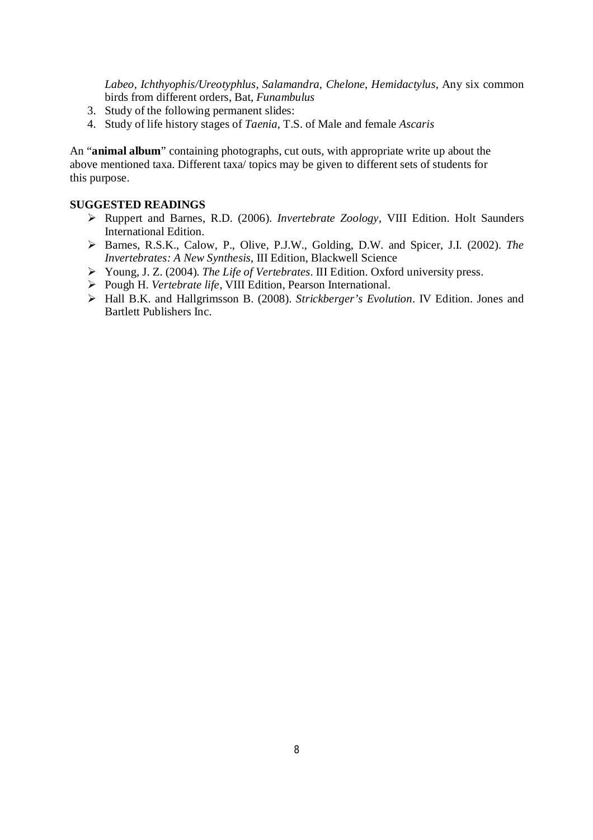*Labeo, Ichthyophis/Ureotyphlus, Salamandra, Chelone, Hemidactylus,* Any six common birds from different orders, Bat, *Funambulus*

- 3. Study of the following permanent slides:
- 4. Study of life history stages of *Taenia,* T.S. of Male and female *Ascaris*

An "**animal album**" containing photographs, cut outs, with appropriate write up about the above mentioned taxa. Different taxa/ topics may be given to different sets of students for this purpose.

- Ruppert and Barnes, R.D. (2006). *Invertebrate Zoology*, VIII Edition. Holt Saunders International Edition.
- Barnes, R.S.K., Calow, P., Olive, P.J.W., Golding, D.W. and Spicer, J.I. (2002). *The Invertebrates: A New Synthesis*, III Edition, Blackwell Science
- Young, J. Z. (2004). *The Life of Vertebrates*. III Edition. Oxford university press.
- Pough H. *Vertebrate life,* VIII Edition, Pearson International.
- Hall B.K. and Hallgrimsson B. (2008). *Strickberger's Evolution*. IV Edition. Jones and Bartlett Publishers Inc.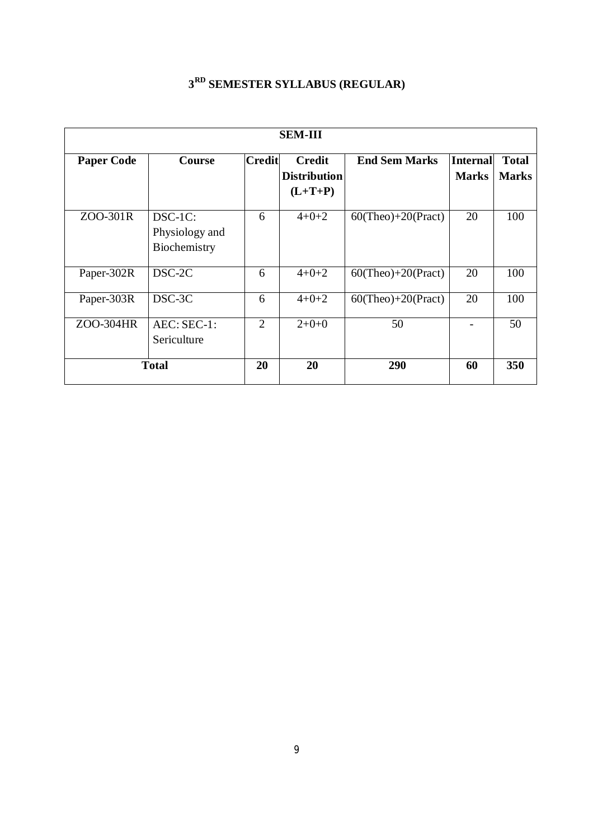| <b>SEM-III</b>    |                                           |                |                                                   |                       |                                 |                              |  |
|-------------------|-------------------------------------------|----------------|---------------------------------------------------|-----------------------|---------------------------------|------------------------------|--|
| <b>Paper Code</b> | <b>Course</b>                             | <b>Credit</b>  | <b>Credit</b><br><b>Distribution</b><br>$(L+T+P)$ | <b>End Sem Marks</b>  | <b>Internal</b><br><b>Marks</b> | <b>Total</b><br><b>Marks</b> |  |
| ZOO-301R          | DSC-1C:<br>Physiology and<br>Biochemistry | 6              | $4 + 0 + 2$                                       | $60$ (Theo)+20(Pract) | 20                              | 100                          |  |
| Paper-302R        | DSC-2C                                    | 6              | $4+0+2$                                           | $60$ (Theo)+20(Pract) | 20                              | 100                          |  |
| Paper-303R        | $DSC-3C$                                  | 6              | $4 + 0 + 2$                                       | $60$ (Theo)+20(Pract) | 20                              | 100                          |  |
| ZOO-304HR         | $AEC:SEC-1:$<br>Sericulture               | $\overline{2}$ | $2+0+0$                                           | 50                    |                                 | 50                           |  |
| <b>Total</b>      |                                           | 20             | 20                                                | 290                   | 60                              | 350                          |  |

## **3 RD SEMESTER SYLLABUS (REGULAR)**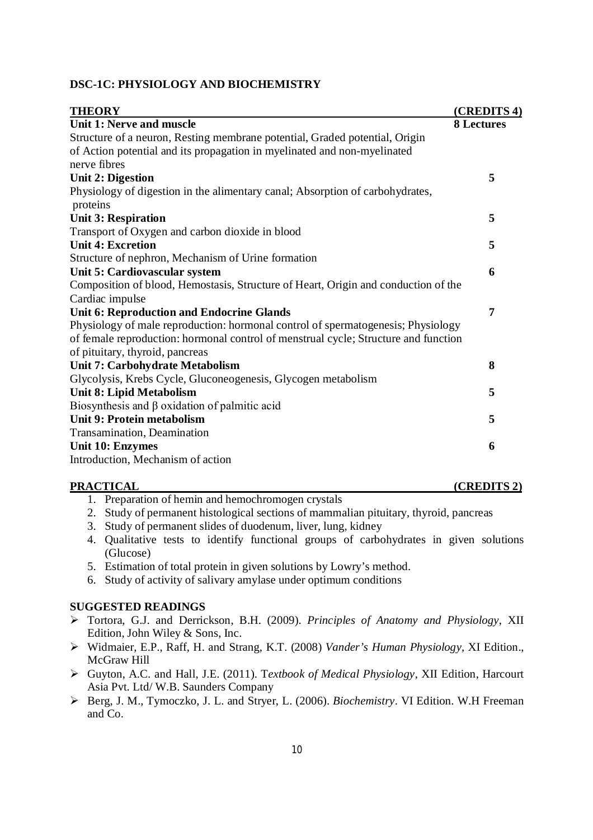## **DSC-1C: PHYSIOLOGY AND BIOCHEMISTRY**

| <b>THEORY</b>                                                                       | (CREDITS 4)       |
|-------------------------------------------------------------------------------------|-------------------|
| Unit 1: Nerve and muscle                                                            | <b>8 Lectures</b> |
| Structure of a neuron, Resting membrane potential, Graded potential, Origin         |                   |
| of Action potential and its propagation in myelinated and non-myelinated            |                   |
| nerve fibres                                                                        |                   |
| <b>Unit 2: Digestion</b>                                                            | 5                 |
| Physiology of digestion in the alimentary canal; Absorption of carbohydrates,       |                   |
| proteins                                                                            |                   |
| <b>Unit 3: Respiration</b>                                                          | 5                 |
| Transport of Oxygen and carbon dioxide in blood                                     |                   |
| <b>Unit 4: Excretion</b>                                                            | 5                 |
| Structure of nephron, Mechanism of Urine formation                                  |                   |
| Unit 5: Cardiovascular system                                                       | 6                 |
| Composition of blood, Hemostasis, Structure of Heart, Origin and conduction of the  |                   |
| Cardiac impulse                                                                     |                   |
| <b>Unit 6: Reproduction and Endocrine Glands</b>                                    | 7                 |
| Physiology of male reproduction: hormonal control of spermatogenesis; Physiology    |                   |
| of female reproduction: hormonal control of menstrual cycle; Structure and function |                   |
| of pituitary, thyroid, pancreas                                                     |                   |
| Unit 7: Carbohydrate Metabolism                                                     | 8                 |
| Glycolysis, Krebs Cycle, Gluconeogenesis, Glycogen metabolism                       |                   |
| <b>Unit 8: Lipid Metabolism</b>                                                     | 5                 |
| Biosynthesis and $\beta$ oxidation of palmitic acid                                 |                   |
| Unit 9: Protein metabolism                                                          | 5                 |
| Transamination, Deamination                                                         |                   |
| <b>Unit 10: Enzymes</b>                                                             | 6                 |
| Introduction, Mechanism of action                                                   |                   |

#### **PRACTICAL (CREDITS 2)**

- 1. Preparation of hemin and hemochromogen crystals
- 2. Study of permanent histological sections of mammalian pituitary, thyroid, pancreas
- 3. Study of permanent slides of duodenum, liver, lung, kidney
- 4. Qualitative tests to identify functional groups of carbohydrates in given solutions (Glucose)
- 5. Estimation of total protein in given solutions by Lowry's method.
- 6. Study of activity of salivary amylase under optimum conditions

- Tortora, G.J. and Derrickson, B.H. (2009). *Principles of Anatomy and Physiology*, XII Edition, John Wiley & Sons, Inc.
- Widmaier, E.P., Raff, H. and Strang, K.T. (2008) *Vander's Human Physiology*, XI Edition., McGraw Hill
- Guyton, A.C. and Hall, J.E. (2011). T*extbook of Medical Physiology*, XII Edition, Harcourt Asia Pvt. Ltd/ W.B. Saunders Company
- Berg, J. M., Tymoczko, J. L. and Stryer, L. (2006). *Biochemistry*. VI Edition. W.H Freeman and Co.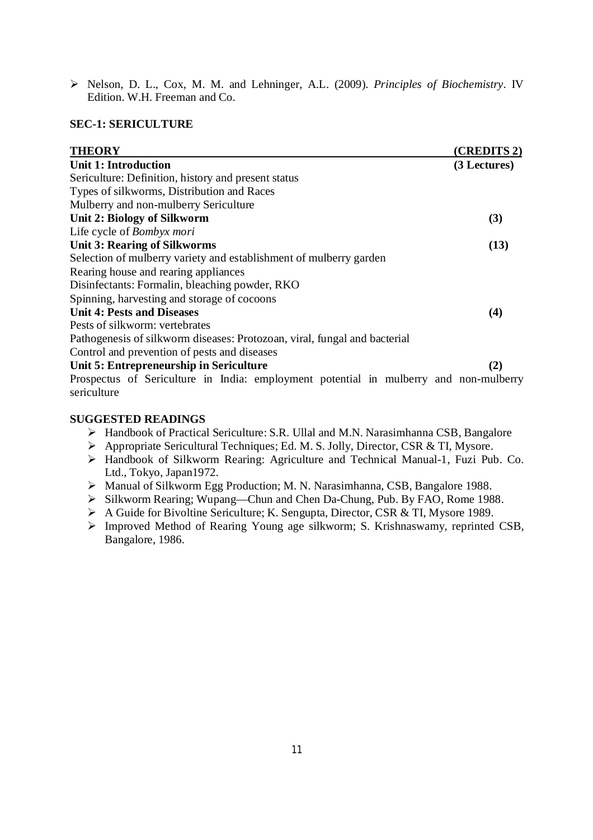Nelson, D. L., Cox, M. M. and Lehninger, A.L. (2009). *Principles of Biochemistry*. IV Edition. W.H. Freeman and Co.

#### **SEC-1: SERICULTURE**

| <b>THEORY</b>                                                                                        | (CREDITS 2)  |
|------------------------------------------------------------------------------------------------------|--------------|
| <b>Unit 1: Introduction</b>                                                                          | (3 Lectures) |
| Sericulture: Definition, history and present status                                                  |              |
| Types of silkworms, Distribution and Races                                                           |              |
| Mulberry and non-mulberry Sericulture                                                                |              |
| Unit 2: Biology of Silkworm                                                                          | (3)          |
| Life cycle of Bombyx mori                                                                            |              |
| <b>Unit 3: Rearing of Silkworms</b>                                                                  | (13)         |
| Selection of mulberry variety and establishment of mulberry garden                                   |              |
| Rearing house and rearing appliances                                                                 |              |
| Disinfectants: Formalin, bleaching powder, RKO                                                       |              |
| Spinning, harvesting and storage of cocoons                                                          |              |
| <b>Unit 4: Pests and Diseases</b>                                                                    | (4)          |
| Pests of silkworm: vertebrates                                                                       |              |
| Pathogenesis of silkworm diseases: Protozoan, viral, fungal and bacterial                            |              |
| Control and prevention of pests and diseases                                                         |              |
| Unit 5: Entrepreneurship in Sericulture                                                              | (2)          |
| Prospectus of Sericulture in India: employment potential in mulberry and non-mulberry<br>sericulture |              |

- Handbook of Practical Sericulture: S.R. Ullal and M.N. Narasimhanna CSB, Bangalore
- Appropriate Sericultural Techniques; Ed. M. S. Jolly, Director, CSR & TI, Mysore.
- > Handbook of Silkworm Rearing: Agriculture and Technical Manual-1, Fuzi Pub. Co. Ltd., Tokyo, Japan1972.
- Manual of Silkworm Egg Production; M. N. Narasimhanna, CSB, Bangalore 1988.
- Silkworm Rearing; Wupang—Chun and Chen Da-Chung, Pub. By FAO, Rome 1988.
- A Guide for Bivoltine Sericulture; K. Sengupta, Director, CSR & TI, Mysore 1989.
- Improved Method of Rearing Young age silkworm; S. Krishnaswamy, reprinted CSB, Bangalore, 1986.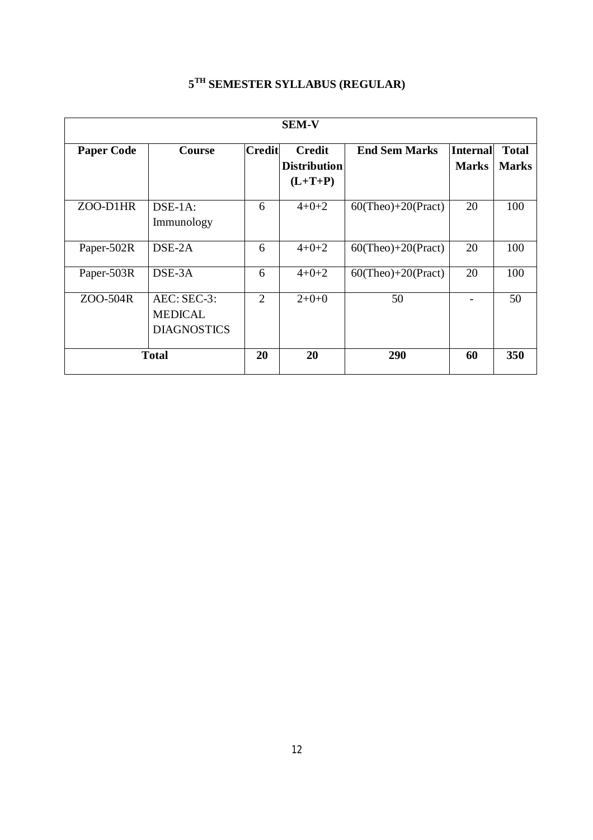| <b>SEM-V</b> |                                                     |                |                     |                       |              |              |  |  |
|--------------|-----------------------------------------------------|----------------|---------------------|-----------------------|--------------|--------------|--|--|
|              |                                                     |                |                     |                       |              |              |  |  |
|              |                                                     |                | <b>Distribution</b> |                       | <b>Marks</b> | <b>Marks</b> |  |  |
|              |                                                     |                | $(L+T+P)$           |                       |              |              |  |  |
| ZOO-D1HR     | DSE-1A:<br>Immunology                               | 6              | $4+0+2$             | $60$ (Theo)+20(Pract) | 20           | 100          |  |  |
| Paper-502R   | $DSE-2A$                                            | 6              | $4 + 0 + 2$         | $60$ (Theo)+20(Pract) | 20           | 100          |  |  |
| Paper-503R   | DSE-3A                                              | 6              | $4 + 0 + 2$         | $60$ (Theo)+20(Pract) | 20           | 100          |  |  |
| ZOO-504R     | AEC: SEC-3:<br><b>MEDICAL</b><br><b>DIAGNOSTICS</b> | $\overline{2}$ | $2+0+0$             | 50                    |              | 50           |  |  |
| <b>Total</b> |                                                     | 20             | 20                  | 290                   | 60           | 350          |  |  |

## **5 TH SEMESTER SYLLABUS (REGULAR)**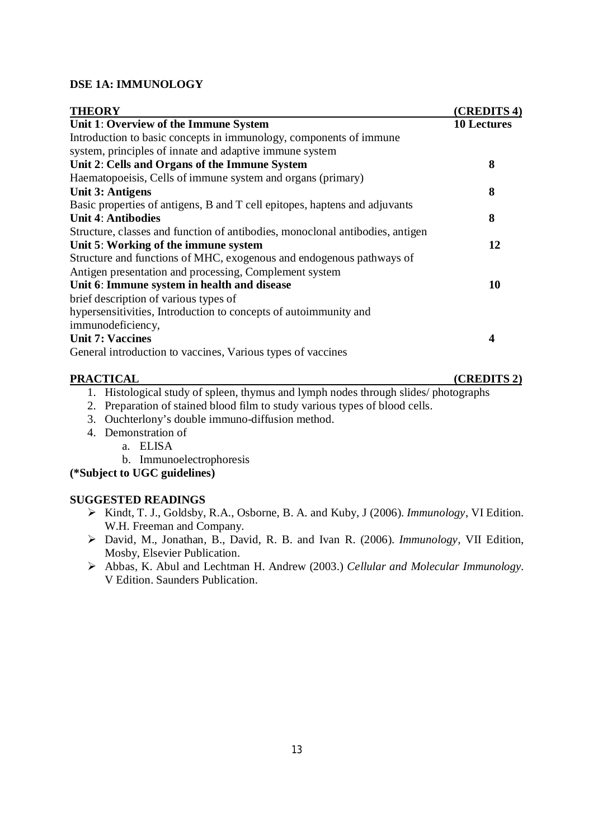## **DSE 1A: IMMUNOLOGY**

| <b>THEORY</b>                                                                 | (CREDITS 4)        |
|-------------------------------------------------------------------------------|--------------------|
| Unit 1: Overview of the Immune System                                         | <b>10 Lectures</b> |
| Introduction to basic concepts in immunology, components of immune            |                    |
| system, principles of innate and adaptive immune system                       |                    |
| Unit 2: Cells and Organs of the Immune System                                 | 8                  |
| Haematopoeisis, Cells of immune system and organs (primary)                   |                    |
| <b>Unit 3: Antigens</b>                                                       | 8                  |
| Basic properties of antigens, B and T cell epitopes, haptens and adjuvants    |                    |
| <b>Unit 4: Antibodies</b>                                                     | 8                  |
| Structure, classes and function of antibodies, monoclonal antibodies, antigen |                    |
| Unit 5: Working of the immune system                                          | 12                 |
| Structure and functions of MHC, exogenous and endogenous pathways of          |                    |
| Antigen presentation and processing, Complement system                        |                    |
| Unit 6: Immune system in health and disease                                   | 10                 |
| brief description of various types of                                         |                    |
| hypersensitivities, Introduction to concepts of autoimmunity and              |                    |
| immunodeficiency,                                                             |                    |
| <b>Unit 7: Vaccines</b>                                                       | 4                  |
| General introduction to vaccines, Various types of vaccines                   |                    |
| <b>PRACTICAL</b>                                                              | (CREDITS 2)        |

- 1. Histological study of spleen, thymus and lymph nodes through slides/ photographs
- 2. Preparation of stained blood film to study various types of blood cells.
- 3. Ouchterlony's double immuno-diffusion method.
- 4. Demonstration of
	- a. ELISA
		- b. Immunoelectrophoresis

**(\*Subject to UGC guidelines)**

- Kindt, T. J., Goldsby, R.A., Osborne, B. A. and Kuby, J (2006). *Immunology*, VI Edition. W.H. Freeman and Company.
- David, M., Jonathan, B., David, R. B. and Ivan R. (2006). *Immunology,* VII Edition, Mosby, Elsevier Publication.
- Abbas, K. Abul and Lechtman H. Andrew (2003.) *Cellular and Molecular Immunology.*  V Edition. Saunders Publication.